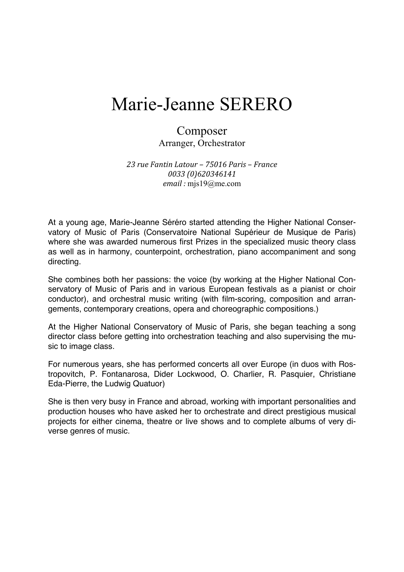# Marie-Jeanne SERERO

### Composer Arranger, Orchestrator

*23 rue Fantin Latour – 75016 Paris – France 0033 (0)620346141 email :* mjs19@me.com

At a young age, Marie-Jeanne Séréro started attending the Higher National Conservatory of Music of Paris (Conservatoire National Supérieur de Musique de Paris) where she was awarded numerous first Prizes in the specialized music theory class as well as in harmony, counterpoint, orchestration, piano accompaniment and song directing.

She combines both her passions: the voice (by working at the Higher National Conservatory of Music of Paris and in various European festivals as a pianist or choir conductor), and orchestral music writing (with film-scoring, composition and arrangements, contemporary creations, opera and choreographic compositions.)

At the Higher National Conservatory of Music of Paris, she began teaching a song director class before getting into orchestration teaching and also supervising the music to image class.

For numerous years, she has performed concerts all over Europe (in duos with Rostropovitch, P. Fontanarosa, Dider Lockwood, O. Charlier, R. Pasquier, Christiane Eda-Pierre, the Ludwig Quatuor)

She is then very busy in France and abroad, working with important personalities and production houses who have asked her to orchestrate and direct prestigious musical projects for either cinema, theatre or live shows and to complete albums of very diverse genres of music.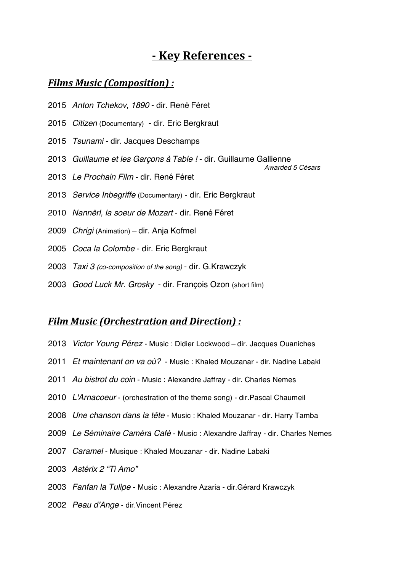# **- Key References -**

*Awarded 5 Césars*

## *Films Music (Composition) :*

- *Anton Tchekov, 1890* dir. René Féret
- *Citizen* (Documentary) dir. Eric Bergkraut
- *Tsunami* dir. Jacques Deschamps
- *Guillaume et les Garçons à Table !* dir. Guillaume Gallienne
- *Le Prochain Film* dir. René Féret
- *Service Inbegriffe* (Documentary) dir. Eric Bergkraut
- *Nannërl, la soeur de Mozart* dir. René Féret
- *Chrigi* (Animation) dir. Anja Kofmel
- *Coca la Colombe* dir. Eric Bergkraut
- *Taxi 3 (co-composition of the song)* dir. G.Krawczyk
- *Good Luck Mr. Grosky* dir. François Ozon (short film)

#### *Film Music (Orchestration and Direction) :*

- *Victor Young Pérez* Music : Didier Lockwood dir. Jacques Ouaniches
- *Et maintenant on va où?* Music : Khaled Mouzanar dir. Nadine Labaki
- *Au bistrot du coin* Music : Alexandre Jaffray dir. Charles Nemes
- *L'Arnacoeur* (orchestration of the theme song) dir.Pascal Chaumeil
- *Une chanson dans la tête* Music : Khaled Mouzanar dir. Harry Tamba
- *Le Séminaire Caméra Café* Music : Alexandre Jaffray dir. Charles Nemes
- *Caramel* Musique : Khaled Mouzanar dir. Nadine Labaki
- *Astérix 2 "Ti Amo"*
- *Fanfan la Tulipe* Music : Alexandre Azaria dir.Gérard Krawczyk
- *Peau d'Ange* dir.Vincent Pérez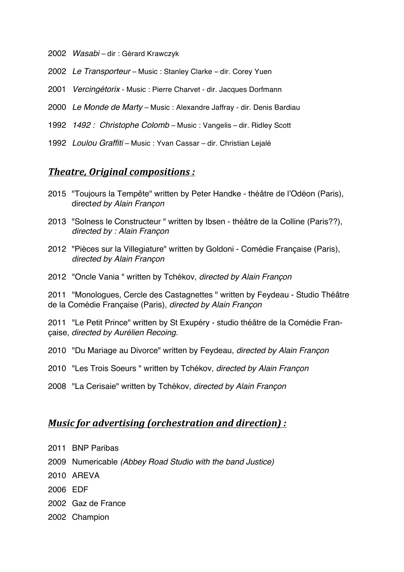- *Wasabi* dir : Gérard Krawczyk
- *Le Transporteur* Music : Stanley Clarke dir. Corey Yuen
- *Vercingétorix* Music : Pierre Charvet dir. Jacques Dorfmann
- *Le Monde de Marty* Music : Alexandre Jaffray dir. Denis Bardiau
- *1492 : Christophe Colomb* Music : Vangelis dir. Ridley Scott
- *Loulou Graffiti* Music : Yvan Cassar dir. Christian Lejalé

#### *Theatre, Original compositions :*

- "Toujours la Tempête" written by Peter Handke théâtre de l'Odéon (Paris), direct*ed by Alain Françon*
- "Solness le Constructeur " written by Ibsen théâtre de la Colline (Paris??), *directed by : Alain Françon*
- "Pièces sur la Villegiature" written by Goldoni Comédie Française (Paris), *directed by Alain Françon*
- "Oncle Vania " written by Tchékov, *directed by Alain Françon*

 "Monologues, Cercle des Castagnettes " written by Feydeau - Studio Théâtre de la Comédie Française (Paris), *directed by Alain Françon*

 "Le Petit Prince" written by St Exupéry - studio théâtre de la Comédie Française, *directed by Aurélien Recoing.*

- "Du Mariage au Divorce" written by Feydeau*, directed by Alain Françon*
- "Les Trois Soeurs " written by Tchékov*, directed by Alain Françon*
- "La Cerisaie" written by Tchékov*, directed by Alain Françon*

## *Music for advertising (orchestration and direction) :*

- BNP Paribas
- Numericable *(Abbey Road Studio with the band Justice)*
- AREVA
- EDF
- Gaz de France
- Champion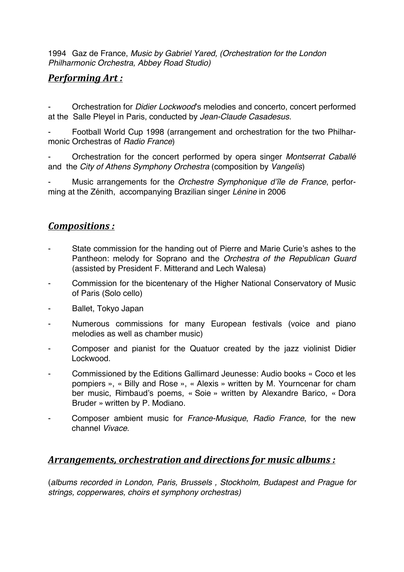1994 Gaz de France, *Music by Gabriel Yared, (Orchestration for the London Philharmonic Orchestra, Abbey Road Studio)*

## *Performing Art :*

- Orchestration for *Didier Lockwood*'s melodies and concerto, concert performed at the Salle Pleyel in Paris, conducted by *Jean-Claude Casadesus.*

- Football World Cup 1998 (arrangement and orchestration for the two Philharmonic Orchestras of *Radio France*)

- Orchestration for the concert performed by opera singer *Montserrat Caballé* and the *City of Athens Symphony Orchestra* (composition by *Vangelis*)

- Music arrangements for the *Orchestre Symphonique d'île de France*, performing at the Zénith, accompanying Brazilian singer *Lénine* in 2006

## *Compositions :*

- State commission for the handing out of Pierre and Marie Curie's ashes to the Pantheon: melody for Soprano and the *Orchestra of the Republican Guard* (assisted by President F. Mitterand and Lech Walesa)
- Commission for the bicentenary of the Higher National Conservatory of Music of Paris (Solo cello)
- Ballet, Tokyo Japan
- Numerous commissions for many European festivals (voice and piano melodies as well as chamber music)
- Composer and pianist for the Quatuor created by the jazz violinist Didier Lockwood.
- Commissioned by the Editions Gallimard Jeunesse: Audio books « Coco et les pompiers », « Billy and Rose », « Alexis » written by M. Yourncenar for cham ber music, Rimbaud's poems, « Soie » written by Alexandre Barico, « Dora Bruder » written by P. Modiano.
- Composer ambient music for *France-Musique*, *Radio France*, for the new channel *Vivace*.

# *Arrangements, orchestration and directions for music albums :*

(*albums recorded in London, Paris, Brussels , Stockholm, Budapest and Prague for strings, copperwares, choirs et symphony orchestras)*